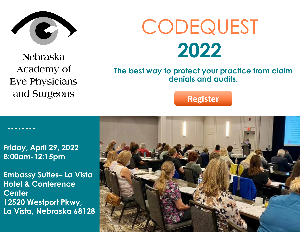

**Nebraska** Academy of **Eye Physicians** and Surgeons

# **CODEQUEST 2022**

## **The best way to protect your practice from claim denials and audits.**

# **Register**

**Friday, April 29, 2022 8:00am-12:15pm**

**Embassy Suites– La Vista Hotel & Conference Center 12520 Westport Pkwy, La Vista, Nebraska 68128**

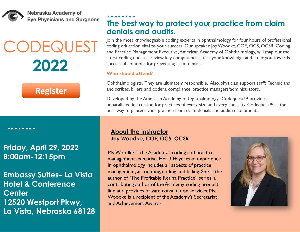

Nebraska Academy of **Eye Physicians and Surgeons** 

# **CODEQUEST 2022**

# **Register**

**Friday, April 29, 2022 8:00am-12:15pm**

**Embassy Suites– La Vista Hotel & Conference Center 12520 Westport Pkwy, La Vista, Nebraska 68128**

## **The best way to protect your practice from claim denials and audits.**

Join the most knowledgeable coding experts in ophthalmology for four hours of professional coding education vital to your success. Our speaker, Joy Woodke, COE, OCS, OCSR, Coding and Practice Management Executive, American Academy of Ophthalmology, will map out the latest coding updates, review key competencies, test your knowledge and steer you towards successful solutions for preventing claim denials.

### **Who should attend?**

Ophthalmologists. They are ultimately responsible. Also, physician support staff: Technicians and scribes, billers and coders, compliance, practice managers/administrators.

Developed by the American Academy of Ophthalmology Codequest<sup>™</sup> provides unparalleled instruction for practices of every size and every specialty. Codequest<sup>™</sup> is the best way to protect your practice from claim denials and audit recoupments.

## **About the instructor Joy Woodke, COE, OCS, OCSR**

Ms. Woodke is the Academy's coding and practice management executive. Her 30+ years of experience in ophthalmology includes all aspects of practice management, accounting, coding and billing. She is the author of "The Profitable Retina Practice" series, a contributing author of the Academy coding product line and provides private consultation services. Ms. Woodke is a recipient of the Academy's Secretariat and Achievement Awards.